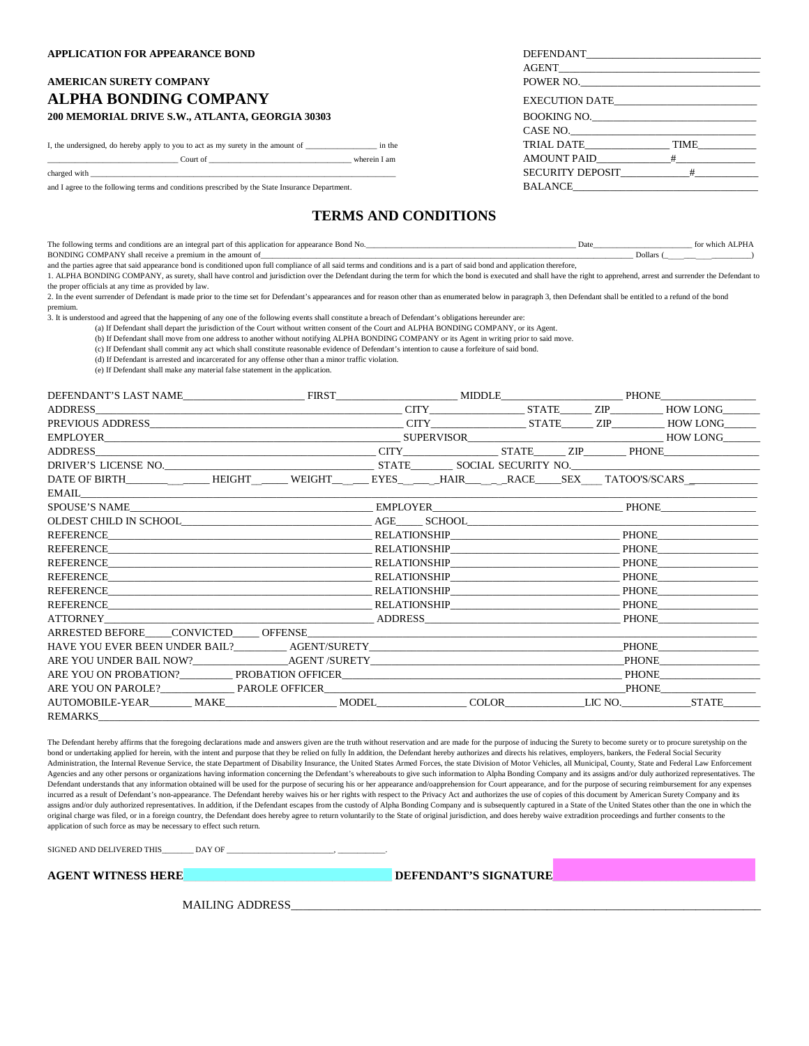#### **AMERICAN SURETY COMPANY ALPHA BONDING COMPANY** 200 MEMORIAL DRIVE S.W., ATLANTA, GEORGIA 30303

and I agree to the following terms and conditions prescribed by the State Insurance Department.

#### **TERMS AND CONDITIONS**

| The following terms and conditions are an integral part of this application for appearance Bond No. | Dat |         | whic |
|-----------------------------------------------------------------------------------------------------|-----|---------|------|
| BONDING COMPANY shall receive a premium in the amount of                                            |     | Jollars |      |

and the parties agree that said appearance bond is conditioned upon full compliance of all said terms and conditions and is a part of said bond and application therefore,

1. ALPHA BONDING COMPANY, as surety, shall have control and jurisdiction over the Defendant during the term for which the bond is executed and shall have the right to apprehend, arrest and surrender the Defendant to the proper officials at any time as provided by law.

2. In the event surrender of Defendant is made prior to the time set for Defendant's appearances and for reason other than as enumerated below in paragraph 3, then Defendant shall be entitled to a refund of the bond premium.

3. It is understood and agreed that the happening of any one of the following events shall constitute a breach of Defendant's obligations hereunder are:

(a) If Defendant shall depart the jurisdiction of the Court without written consent of the Court and ALPHA BONDING COMPANY, or its Agent.

(b) If Defendant shall move from one address to another without notifying ALPHA BONDING COMPANY or its Agent in writing prior to said move.

(c) If Defendant shall commit any act which shall constitute reasonable evidence of Defendant's intention to cause a forfeiture of said bond.

(d) If Defendant is arrested and incarcerated for any offense other than a minor traffic violation.

(e) If Defendant shall make any material false statement in the application.

| DEFENDANT'S LAST NAME FIRST FIRST MIDDLE PHONE                                                                       |  |  |  |              |              |
|----------------------------------------------------------------------------------------------------------------------|--|--|--|--------------|--------------|
|                                                                                                                      |  |  |  |              |              |
|                                                                                                                      |  |  |  |              |              |
| EMPLOYER HOW LONG HOW UNITS AND SUPERVISOR THE SUPERVISOR                                                            |  |  |  |              |              |
|                                                                                                                      |  |  |  |              |              |
|                                                                                                                      |  |  |  |              |              |
| DATE OF BIRTH______________HEIGHT ______WEIGHT ______EYES_______HAIR_______RACE_____SEX ___TATOO'S/SCARS ___________ |  |  |  |              |              |
|                                                                                                                      |  |  |  |              |              |
| SPOUSE'S NAME                                                                                                        |  |  |  |              |              |
|                                                                                                                      |  |  |  |              |              |
|                                                                                                                      |  |  |  |              |              |
| <b>REFERENCE</b>                                                                                                     |  |  |  | <b>PHONE</b> |              |
| RELATIONSHIP PHONE PHONE<br>REFERENCE                                                                                |  |  |  |              |              |
| REFERENCE<br><b>RELATIONSHIP</b>                                                                                     |  |  |  |              | <b>PHONE</b> |
| REFERENCE<br><b>RELATIONSHIP RELATIONSHIP</b>                                                                        |  |  |  |              | <b>PHONE</b> |
|                                                                                                                      |  |  |  |              | <b>PHONE</b> |
| ATTORNEY ADDRESS                                                                                                     |  |  |  | PHONE        |              |
| ARRESTED BEFORE CONVICTED OFFENSE                                                                                    |  |  |  |              |              |
|                                                                                                                      |  |  |  | PHONE        |              |
|                                                                                                                      |  |  |  |              | <b>PHONE</b> |
| ARE YOU ON PROBATION? PROBATION OFFICER THE SERVE OF THE SERVE OF THE PHONE                                          |  |  |  |              |              |
| ARE YOU ON PAROLE? PAROLE OFFICER                                                                                    |  |  |  |              | <b>PHONE</b> |
| AUTOMOBILE-YEAR MAKE MODEL COLOR LIC NO. STATE                                                                       |  |  |  |              |              |
| REMARKS                                                                                                              |  |  |  |              |              |

The Defendant hereby affirms that the foregoing declarations made and answers given are the truth without reservation and are made for the purpose of inducing the Surety to become surety or to procure suretyship on the bond or undertaking applied for herein, with the intent and purpose that they be relied on fully In addition, the Defendant hereby authorizes and directs his relatives, employers, bankers, the Federal Social Security Administration, the Internal Revenue Service, the state Department of Disability Insurance, the United States Armed Forces, the state Division of Motor Vehicles, all Municipal, County, State and Federal Law Enforcement Agencies and any other persons or organizations having information concerning the Defendant's whereabouts to give such information to Alpha Bonding Company and its assigns and/or duly authorized representatives. The Defendant understands that any information obtained will be used for the purpose of securing his or her appearance and/oapprehension for Court appearance, and for the purpose of securing reimbursement for any expenses incurred as a result of Defendant's non-appearance. The Defendant hereby waives his or her rights with respect to the Privacy Act and authorizes the use of copies of this document by American Surety Company and its assigns and/or duly authorized representatives. In addition, if the Defendant escapes from the custody of Alpha Bonding Company and is subsequently captured in a State of the United States other than the one in which the original charge was filed, or in a foreign country, the Defendant does hereby agree to return voluntarily to the State of original jurisdiction, and does hereby waive extradition proceedings and further consents to the application of such force as may be necessary to effect such return.

SIGNED AND DELIVERED THIS \_\_\_\_\_\_\_ DAY OF

**AGENT WITNESS HERE**\_\_\_\_\_\_\_\_\_\_\_\_\_\_\_\_\_\_\_\_\_\_\_\_\_\_\_\_\_\_\_\_\_\_\_ **DEFENDANT'S SIGNATURE**\_\_\_\_\_\_\_\_\_\_\_\_\_\_\_\_\_\_\_\_\_\_\_\_\_\_\_\_\_\_\_\_\_\_

MAILING ADDRESS

| APPLICATION FOR APPEARANCE BOND                                                                                                                                                                                                      |                    |  |  |  |
|--------------------------------------------------------------------------------------------------------------------------------------------------------------------------------------------------------------------------------------|--------------------|--|--|--|
|                                                                                                                                                                                                                                      |                    |  |  |  |
| AMERICAN SURETY COMPANY                                                                                                                                                                                                              | POWER NO.          |  |  |  |
| ALPHA BONDING COMPANY                                                                                                                                                                                                                | EXECUTION DATE     |  |  |  |
| 200 MEMORIAL DRIVE S.W., ATLANTA, GEORGIA 30303                                                                                                                                                                                      | BOOKING NO.        |  |  |  |
|                                                                                                                                                                                                                                      |                    |  |  |  |
| I, the undersigned, do hereby apply to you to act as my surety in the amount of ___________________ in the                                                                                                                           | TRIAL DATE TIME    |  |  |  |
| <b>Court of Counterparties of Counterparties of Counterparties of Counterparties of Counterparties of Counterparties of Counterparties of Counterparties of Counterparties of Counterparties of Counterparties of Counterparties</b> | AMOUNT PAID #      |  |  |  |
| charged with the contract of the contract of the contract of the contract of the charged with the contract of the contract of the contract of the contract of the contract of the contract of the contract of the contract of        | SECURITY DEPOSIT # |  |  |  |
| and I agree to the following terms and conditions prescribed by the State Insurance Department.                                                                                                                                      | <b>BALANCE</b>     |  |  |  |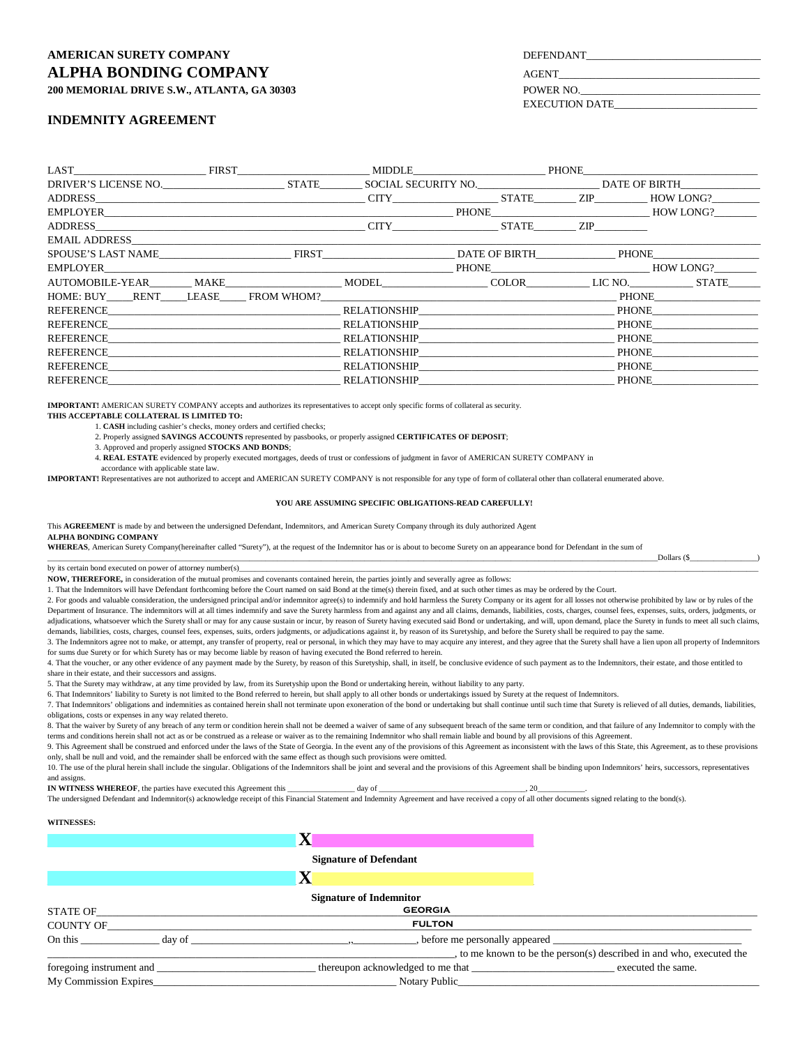### **AMERICAN SURETY COMPANY ALPHA BONDING COMPANY** AGENT **200 MEMORIAL DRIVE S.W., ATLANTA, GA 30303** POWER NO.\_\_\_\_\_\_\_\_\_\_\_\_\_\_\_\_\_\_\_\_\_\_\_\_\_\_\_\_\_\_\_\_\_\_

**INDEMNITY AGREEMENT**

| <b>DEFENDANT</b> |  |
|------------------|--|
|                  |  |

EXECUTION DATE\_\_\_\_\_\_\_\_\_\_\_\_\_\_\_\_\_\_\_\_\_\_\_\_\_\_\_

LAST\_\_\_\_\_\_\_\_\_\_\_\_\_\_\_\_\_\_\_\_\_\_\_\_\_ FIRST\_\_\_\_\_\_\_\_\_\_\_\_\_\_\_\_\_\_\_\_\_\_\_\_\_ MIDDLE\_\_\_\_\_\_\_\_\_\_\_\_\_\_\_\_\_\_\_\_\_\_\_\_\_ PHONE\_\_\_\_\_\_\_\_\_\_\_\_\_\_\_\_\_\_\_\_\_\_\_\_\_\_\_\_\_\_\_\_\_ DRIVER'S LICENSE NO.\_\_\_\_\_\_\_\_\_\_\_\_\_\_\_\_\_\_\_\_\_\_\_ STATE\_\_\_\_\_\_\_\_ SOCIAL SECURITY NO.\_\_\_\_\_\_\_\_\_\_\_\_\_\_\_\_\_\_\_\_\_\_\_ DATE OF BIRTH\_\_\_\_\_\_\_\_\_\_\_\_\_\_\_ ADDRESS\_\_\_\_\_\_\_\_\_\_\_\_\_\_\_\_\_\_\_\_\_\_\_\_\_\_\_\_\_\_\_\_\_\_\_\_\_\_\_\_\_\_\_\_\_\_\_\_\_\_\_ CITY\_\_\_\_\_\_\_\_\_\_\_\_\_\_\_\_\_\_\_\_ STATE\_\_\_\_\_\_\_\_ ZIP\_\_\_\_\_\_\_\_\_\_ HOW LONG?\_\_\_\_\_\_\_\_\_ EMPLOYER\_\_\_\_\_\_\_\_\_\_\_\_\_\_\_\_\_\_\_\_\_\_\_\_\_\_\_\_\_\_\_\_\_\_\_\_\_\_\_\_\_\_\_\_\_\_\_\_\_\_\_\_\_\_\_\_\_\_\_\_\_\_\_\_\_\_ PHONE\_\_\_\_\_\_\_\_\_\_\_\_\_\_\_\_\_\_\_\_\_\_\_\_\_\_\_\_\_\_ HOW LONG?\_\_\_\_\_\_\_\_ ADDRESS\_\_\_\_\_\_\_\_\_\_\_\_\_\_\_\_\_\_\_\_\_\_\_\_\_\_\_\_\_\_\_\_\_\_\_\_\_\_\_\_\_\_\_\_\_\_\_\_\_\_\_ CITY\_\_\_\_\_\_\_\_\_\_\_\_\_\_\_\_\_\_\_\_ STATE\_\_\_\_\_\_\_\_ ZIP\_\_\_\_\_\_\_\_\_\_ EMAIL ADDRESS\_\_\_\_\_\_\_\_\_\_\_\_\_\_\_\_\_\_\_\_\_\_\_\_\_\_\_\_\_\_\_\_\_\_\_\_\_\_\_\_\_\_\_\_\_\_\_\_\_\_\_\_\_\_\_\_\_\_\_\_\_\_\_\_\_\_\_\_\_\_\_\_\_\_\_\_\_\_\_\_\_\_\_\_\_\_\_\_\_\_\_\_\_\_\_\_\_\_\_\_\_\_\_\_\_\_\_\_\_\_\_\_\_\_\_\_\_\_\_ SPOUSE'S LAST NAME THE FIRST THE RESERVE THAT HE RESERVED AT A PHONE OF BIRTH THE PHONE EMPLOYER\_\_\_\_\_\_\_\_\_\_\_\_\_\_\_\_\_\_\_\_\_\_\_\_\_\_\_\_\_\_\_\_\_\_\_\_\_\_\_\_\_\_\_\_\_\_\_\_\_\_\_\_\_\_\_\_\_\_\_\_\_\_\_\_\_\_ PHONE\_\_\_\_\_\_\_\_\_\_\_\_\_\_\_\_\_\_\_\_\_\_\_\_\_\_\_\_\_\_ HOW LONG?\_\_\_\_\_\_\_\_ AUTOMOBILE-YEAR\_\_\_\_\_\_\_\_ MAKE\_\_\_\_\_\_\_\_\_\_\_\_\_\_\_\_\_\_\_\_\_\_ MODEL\_\_\_\_\_\_\_\_\_\_\_\_\_\_\_\_\_\_\_\_ COLOR\_\_\_\_\_\_\_\_\_\_\_\_ LIC NO.\_\_\_\_\_\_\_\_\_\_\_\_ STATE\_\_\_\_\_\_ HOME: BUY\_\_\_\_\_RENT\_\_\_\_\_LEASE\_\_\_\_\_ FROM WHOM?\_\_\_\_\_\_\_\_\_\_\_\_\_\_\_\_\_\_\_\_\_\_\_\_\_\_\_\_\_\_\_\_\_\_\_\_\_\_\_\_\_\_\_\_\_\_\_\_\_\_\_\_\_\_\_\_ PHONE\_\_\_\_\_\_\_\_\_\_\_\_\_\_\_\_\_\_\_\_ REFERENCE\_\_\_\_\_\_\_\_\_\_\_\_\_\_\_\_\_\_\_\_\_\_\_\_\_\_\_\_\_\_\_\_\_\_\_\_\_\_\_\_\_\_\_\_ RELATIONSHIP\_\_\_\_\_\_\_\_\_\_\_\_\_\_\_\_\_\_\_\_\_\_\_\_\_\_\_\_\_\_\_\_\_\_\_\_\_ PHONE\_\_\_\_\_\_\_\_\_\_\_\_\_\_\_\_\_\_\_\_ REFERENCE\_\_\_\_\_\_\_\_\_\_\_\_\_\_\_\_\_\_\_\_\_\_\_\_\_\_\_\_\_\_\_\_\_\_\_\_\_\_\_\_\_\_\_\_ RELATIONSHIP\_\_\_\_\_\_\_\_\_\_\_\_\_\_\_\_\_\_\_\_\_\_\_\_\_\_\_\_\_\_\_\_\_\_\_\_\_ PHONE\_\_\_\_\_\_\_\_\_\_\_\_\_\_\_\_\_\_\_\_ REFERENCE\_\_\_\_\_\_\_\_\_\_\_\_\_\_\_\_\_\_\_\_\_\_\_\_\_\_\_\_\_\_\_\_\_\_\_\_\_\_\_\_\_\_\_\_ RELATIONSHIP\_\_\_\_\_\_\_\_\_\_\_\_\_\_\_\_\_\_\_\_\_\_\_\_\_\_\_\_\_\_\_\_\_\_\_\_\_ PHONE\_\_\_\_\_\_\_\_\_\_\_\_\_\_\_\_\_\_\_\_ REFERENCE\_\_\_\_\_\_\_\_\_\_\_\_\_\_\_\_\_\_\_\_\_\_\_\_\_\_\_\_\_\_\_\_\_\_\_\_\_\_\_\_\_\_\_\_ RELATIONSHIP\_\_\_\_\_\_\_\_\_\_\_\_\_\_\_\_\_\_\_\_\_\_\_\_\_\_\_\_\_\_\_\_\_\_\_\_\_ PHONE\_\_\_\_\_\_\_\_\_\_\_\_\_\_\_\_\_\_\_\_ REFERENCE\_\_\_\_\_\_\_\_\_\_\_\_\_\_\_\_\_\_\_\_\_\_\_\_\_\_\_\_\_\_\_\_\_\_\_\_\_\_\_\_\_\_\_\_ RELATIONSHIP\_\_\_\_\_\_\_\_\_\_\_\_\_\_\_\_\_\_\_\_\_\_\_\_\_\_\_\_\_\_\_\_\_\_\_\_\_ PHONE\_\_\_\_\_\_\_\_\_\_\_\_\_\_\_\_\_\_\_\_ REFERENCE\_\_\_\_\_\_\_\_\_\_\_\_\_\_\_\_\_\_\_\_\_\_\_\_\_\_\_\_\_\_\_\_\_\_\_\_\_\_\_\_\_\_\_\_ RELATIONSHIP\_\_\_\_\_\_\_\_\_\_\_\_\_\_\_\_\_\_\_\_\_\_\_\_\_\_\_\_\_\_\_\_\_\_\_\_\_ PHONE\_\_\_\_\_\_\_\_\_\_\_\_\_\_\_\_\_\_\_\_

**IMPORTANT!** AMERICAN SURETY COMPANY accepts and authorizes its representatives to accept only specific forms of collateral as security.

**THIS ACCEPTABLE COLLATERAL IS LIMITED TO:**

accordance with applicable state law.

1. **CASH** including cashier's checks, money orders and certified checks;

2. Properly assigned **SAVINGS ACCOUNTS** represented by passbooks, or properly assigned **CERTIFICATES OF DEPOSIT**;

3. Approved and properly assigned **STOCKS AND BONDS**;

4. **REAL ESTATE** evidenced by properly executed mortgages, deeds of trust or confessions of judgment in favor of AMERICAN SURETY COMPANY in

**IMPORTANT!** Representatives are not authorized to accept and AMERICAN SURETY COMPANY is not responsible for any type of form of collateral other than collateral enumerated above.

#### **YOU ARE ASSUMING SPECIFIC OBLIGATIONS-READ CAREFULLY!**

\_\_\_\_\_\_\_\_\_\_\_\_\_\_\_\_\_\_\_\_\_\_\_\_\_\_\_\_\_\_\_\_\_\_\_\_\_\_\_\_\_\_\_\_\_\_\_\_\_\_\_\_\_\_\_\_\_\_\_\_\_\_\_\_\_\_\_\_\_\_\_\_\_\_\_\_\_\_\_\_\_\_\_\_\_\_\_\_\_\_\_\_\_\_\_\_\_\_\_\_\_\_\_\_\_\_\_\_\_\_\_\_\_\_\_\_\_\_\_\_\_\_\_\_\_\_\_\_\_\_\_\_\_\_\_\_\_\_\_\_\_\_\_\_\_\_\_\_\_\_\_\_\_\_Dollars (\$\_\_\_\_\_\_\_\_\_\_\_\_\_\_\_\_\_)

This **AGREEMENT** is made by and between the undersigned Defendant, Indemnitors, and American Surety Company through its duly authorized Agent **ALPHA BONDING COMPANY**

**WHEREAS**, American Surety Company(hereinafter called "Surety"), at the request of the Indemnitor has or is about to become Surety on an appearance bond for Defendant in the sum of

by its certain bond executed on power of attorney number(s)\_

**NOW, THEREFORE,** in consideration of the mutual promises and covenants contained herein, the parties jointly and severally agree as follows:

1. That the Indemnitors will have Defendant forthcoming before the Court named on said Bond at the time(s) therein fixed, and at such other times as may be ordered by the Court.

2. For goods and valuable consideration, the undersigned principal and/or indemnitor agree(s) to indemnify and hold harmless the Surety Company or its agent for all losses not otherwise prohibited by law or by rules of the Department of Insurance. The indemnitors will at all times indemnify and save the Surety harmless from and against any and all claims, demands, liabilities, costs, charges, counsel fees, expenses, suits, orders, judgments, adjudications, whatsoever which the Surety shall or may for any cause sustain or incur, by reason of Surety having executed said Bond or undertaking, and will, upon demand, place the Surety in funds to meet all such claims demands, liabilities, costs, charges, counsel fees, expenses, suits, orders judgments, or adjudications against it, by reason of its Suretyship, and before the Surety shall be required to pay the same.

3. The Indemnitors agree not to make, or attempt, any transfer of property, real or personal, in which they may have to may acquire any interest, and they agree that the Surety shall have a lien upon all property of Indemn for sums due Surety or for which Surety has or may become liable by reason of having executed the Bond referred to herein.

4. That the voucher, or any other evidence of any payment made by the Surety, by reason of this Suretyship, shall, in itself, be conclusive evidence of such payment as to the Indemnitors, their estate, and those entitled t share in their estate, and their successors and assigns.

5. That the Surety may withdraw, at any time provided by law, from its Suretyship upon the Bond or undertaking herein, without liability to any party.

6. That Indemnitors' liability to Surety is not limited to the Bond referred to herein, but shall apply to all other bonds or undertakings issued by Surety at the request of Indemnitors.

7. That Indemnitors' obligations and indemnities as contained herein shall not terminate upon exoneration of the bond or undertaking but shall continue until such time that Surety is relieved of all duties, demands, liabil obligations, costs or expenses in any way related thereto.

8. That the waiver by Surety of any breach of any term or condition herein shall not be deemed a waiver of same of any subsequent breach of the same term or condition, and that failure of any Indemnitor to comply with the terms and conditions herein shall not act as or be construed as a release or waiver as to the remaining Indemnitor who shall remain liable and bound by all provisions of this Agreement.

9. This Agreement shall be construed and enforced under the laws of the State of Georgia. In the event any of the provisions of this Agreement as inconsistent with the laws of this State, this Agreement, as to these provis only, shall be null and void, and the remainder shall be enforced with the same effect as though such provisions were omitted.

10. The use of the plural herein shall include the singular. Obligations of the Indemnitors shall be joint and several and the provisions of this Agreement shall be binding upon Indemnitors' heirs, successors, representati and assigns.

**IN WITNESS WHEREOF**, the parties have executed this Agreement this \_\_\_\_\_\_\_\_\_\_\_\_\_\_\_\_\_ day of \_\_\_\_\_\_\_\_\_\_\_\_\_\_\_\_\_\_\_\_\_\_\_\_\_\_\_\_\_\_\_\_\_\_\_\_\_, 20\_\_\_\_\_\_\_\_\_\_\_\_.

The undersigned Defendant and Indemnitor(s) acknowledge receipt of this Financial Statement and Indemnity Agreement and have received a copy of all other documents signed relating to the bond(s).

#### **WITNESSES:**

|                                                                                                                                                                                                                                | <b>Signature of Defendant</b>                        |                                                                      |  |  |  |
|--------------------------------------------------------------------------------------------------------------------------------------------------------------------------------------------------------------------------------|------------------------------------------------------|----------------------------------------------------------------------|--|--|--|
|                                                                                                                                                                                                                                | $\mathbf X$                                          |                                                                      |  |  |  |
|                                                                                                                                                                                                                                | <b>Signature of Indemnitor</b>                       |                                                                      |  |  |  |
| STATE OF                                                                                                                                                                                                                       | <b>GEORGIA</b>                                       |                                                                      |  |  |  |
| <b>COUNTY OF</b>                                                                                                                                                                                                               | <b>FULTON</b>                                        |                                                                      |  |  |  |
| On this day of the contract of the contract of the contract of the contract of the contract of the contract of the contract of the contract of the contract of the contract of the contract of the contract of the contract of |                                                      |                                                                      |  |  |  |
|                                                                                                                                                                                                                                |                                                      | , to me known to be the person(s) described in and who, executed the |  |  |  |
|                                                                                                                                                                                                                                | thereupon acknowledged to me that executed the same. |                                                                      |  |  |  |
| <b>My Commission Expires</b>                                                                                                                                                                                                   | Notary Public                                        |                                                                      |  |  |  |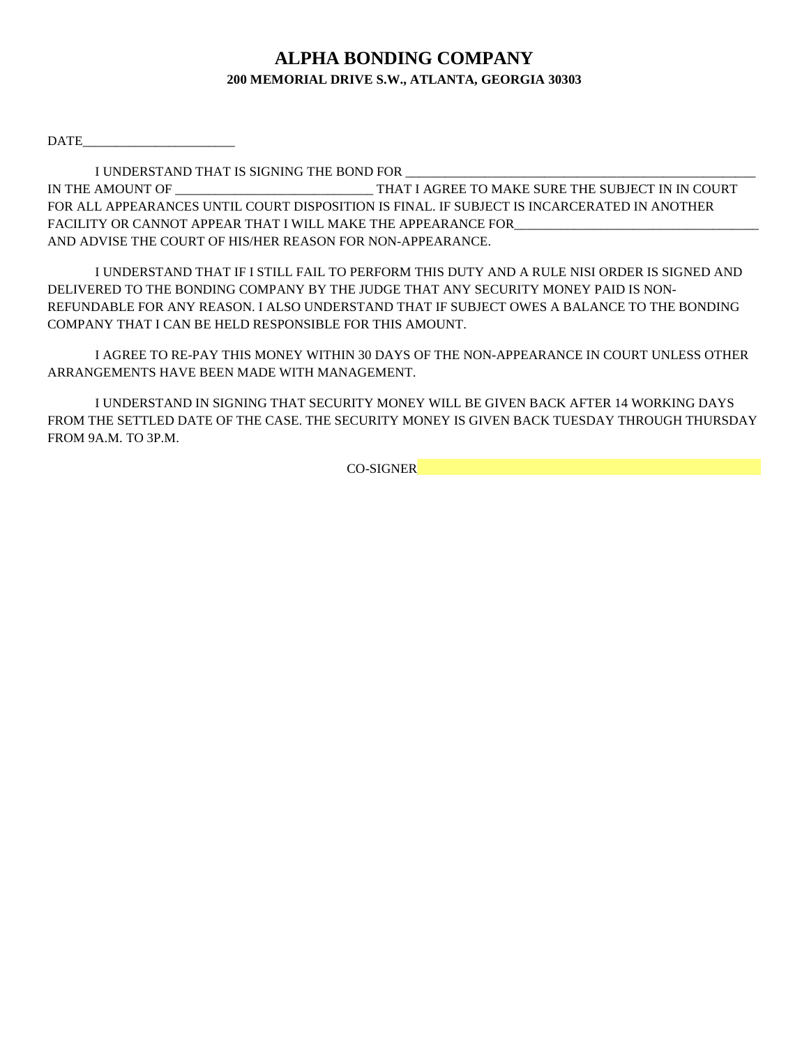## **ALPHA BONDING COMPANY 200 MEMORIAL DRIVE S.W., ATLANTA, GEORGIA 30303**

DATE\_\_\_\_\_\_\_\_\_\_\_\_\_\_\_\_\_\_\_\_\_\_\_

I UNDERSTAND THAT IS SIGNING THE BOND FOR \_\_\_\_\_\_\_\_\_\_\_\_\_\_\_\_\_\_\_\_\_\_\_\_\_\_\_\_\_\_\_\_\_\_\_\_\_\_\_\_\_\_\_\_\_\_\_\_\_\_\_\_\_ IN THE AMOUNT OF \_\_\_\_\_\_\_\_\_\_\_\_\_\_\_\_\_\_\_\_\_\_\_\_\_\_\_\_\_\_ THAT I AGREE TO MAKE SURE THE SUBJECT IN IN COURT FOR ALL APPEARANCES UNTIL COURT DISPOSITION IS FINAL. IF SUBJECT IS INCARCERATED IN ANOTHER FACILITY OR CANNOT APPEAR THAT I WILL MAKE THE APPEARANCE FOR AND ADVISE THE COURT OF HIS/HER REASON FOR NON-APPEARANCE.

I UNDERSTAND THAT IF I STILL FAIL TO PERFORM THIS DUTY AND A RULE NISI ORDER IS SIGNED AND DELIVERED TO THE BONDING COMPANY BY THE JUDGE THAT ANY SECURITY MONEY PAID IS NON-REFUNDABLE FOR ANY REASON. I ALSO UNDERSTAND THAT IF SUBJECT OWES A BALANCE TO THE BONDING COMPANY THAT I CAN BE HELD RESPONSIBLE FOR THIS AMOUNT.

I AGREE TO RE-PAY THIS MONEY WITHIN 30 DAYS OF THE NON-APPEARANCE IN COURT UNLESS OTHER ARRANGEMENTS HAVE BEEN MADE WITH MANAGEMENT.

I UNDERSTAND IN SIGNING THAT SECURITY MONEY WILL BE GIVEN BACK AFTER 14 WORKING DAYS FROM THE SETTLED DATE OF THE CASE. THE SECURITY MONEY IS GIVEN BACK TUESDAY THROUGH THURSDAY FROM 9A.M. TO 3P.M.

CO-SIGNER\_\_\_\_\_\_\_\_\_\_\_\_\_\_\_\_\_\_\_\_\_\_\_\_\_\_\_\_\_\_\_\_\_\_\_\_\_\_\_\_\_\_\_\_\_\_\_\_\_\_\_\_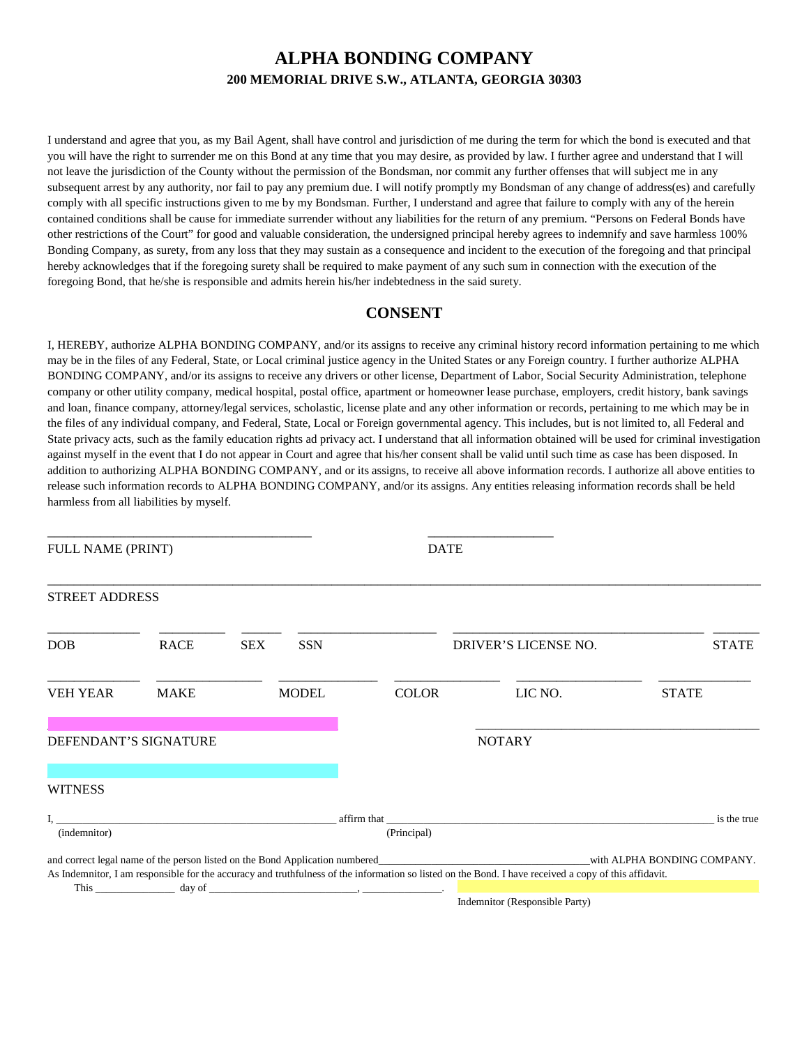## **ALPHA BONDING COMPANY 200 MEMORIAL DRIVE S.W., ATLANTA, GEORGIA 30303**

I understand and agree that you, as my Bail Agent, shall have control and jurisdiction of me during the term for which the bond is executed and that you will have the right to surrender me on this Bond at any time that you may desire, as provided by law. I further agree and understand that I will not leave the jurisdiction of the County without the permission of the Bondsman, nor commit any further offenses that will subject me in any subsequent arrest by any authority, nor fail to pay any premium due. I will notify promptly my Bondsman of any change of address(es) and carefully comply with all specific instructions given to me by my Bondsman. Further, I understand and agree that failure to comply with any of the herein contained conditions shall be cause for immediate surrender without any liabilities for the return of any premium. "Persons on Federal Bonds have other restrictions of the Court" for good and valuable consideration, the undersigned principal hereby agrees to indemnify and save harmless 100% Bonding Company, as surety, from any loss that they may sustain as a consequence and incident to the execution of the foregoing and that principal hereby acknowledges that if the foregoing surety shall be required to make payment of any such sum in connection with the execution of the foregoing Bond, that he/she is responsible and admits herein his/her indebtedness in the said surety.

## **CONSENT**

I, HEREBY, authorize ALPHA BONDING COMPANY, and/or its assigns to receive any criminal history record information pertaining to me which may be in the files of any Federal, State, or Local criminal justice agency in the United States or any Foreign country. I further authorize ALPHA BONDING COMPANY, and/or its assigns to receive any drivers or other license, Department of Labor, Social Security Administration, telephone company or other utility company, medical hospital, postal office, apartment or homeowner lease purchase, employers, credit history, bank savings and loan, finance company, attorney/legal services, scholastic, license plate and any other information or records, pertaining to me which may be in the files of any individual company, and Federal, State, Local or Foreign governmental agency. This includes, but is not limited to, all Federal and State privacy acts, such as the family education rights ad privacy act. I understand that all information obtained will be used for criminal investigation against myself in the event that I do not appear in Court and agree that his/her consent shall be valid until such time as case has been disposed. In addition to authorizing ALPHA BONDING COMPANY, and or its assigns, to receive all above information records. I authorize all above entities to release such information records to ALPHA BONDING COMPANY, and/or its assigns. Any entities releasing information records shall be held harmless from all liabilities by myself.

|                       |             | FULL NAME (PRINT) |              |                                                                                                                                                                                                                                | <b>DATE</b>                                                                                                                                           |              |  |  |
|-----------------------|-------------|-------------------|--------------|--------------------------------------------------------------------------------------------------------------------------------------------------------------------------------------------------------------------------------|-------------------------------------------------------------------------------------------------------------------------------------------------------|--------------|--|--|
| <b>STREET ADDRESS</b> |             |                   |              |                                                                                                                                                                                                                                |                                                                                                                                                       |              |  |  |
| DOB                   | <b>RACE</b> | <b>SEX</b>        | <b>SSN</b>   |                                                                                                                                                                                                                                | DRIVER'S LICENSE NO.                                                                                                                                  | <b>STATE</b> |  |  |
| <b>VEH YEAR</b>       | <b>MAKE</b> |                   | <b>MODEL</b> | <b>COLOR</b>                                                                                                                                                                                                                   | LIC NO.                                                                                                                                               | <b>STATE</b> |  |  |
| DEFENDANT'S SIGNATURE |             |                   |              |                                                                                                                                                                                                                                | <b>NOTARY</b>                                                                                                                                         |              |  |  |
| <b>WITNESS</b>        |             |                   |              |                                                                                                                                                                                                                                |                                                                                                                                                       |              |  |  |
| (indemnitor)          |             |                   |              | (Principal)                                                                                                                                                                                                                    |                                                                                                                                                       | is the true  |  |  |
|                       |             |                   |              |                                                                                                                                                                                                                                | As Indemnitor, I am responsible for the accuracy and truthfulness of the information so listed on the Bond. I have received a copy of this affidavit. |              |  |  |
|                       |             |                   |              | This day of day of the contract of the contract of the contract of the contract of the contract of the contract of the contract of the contract of the contract of the contract of the contract of the contract of the contrac |                                                                                                                                                       |              |  |  |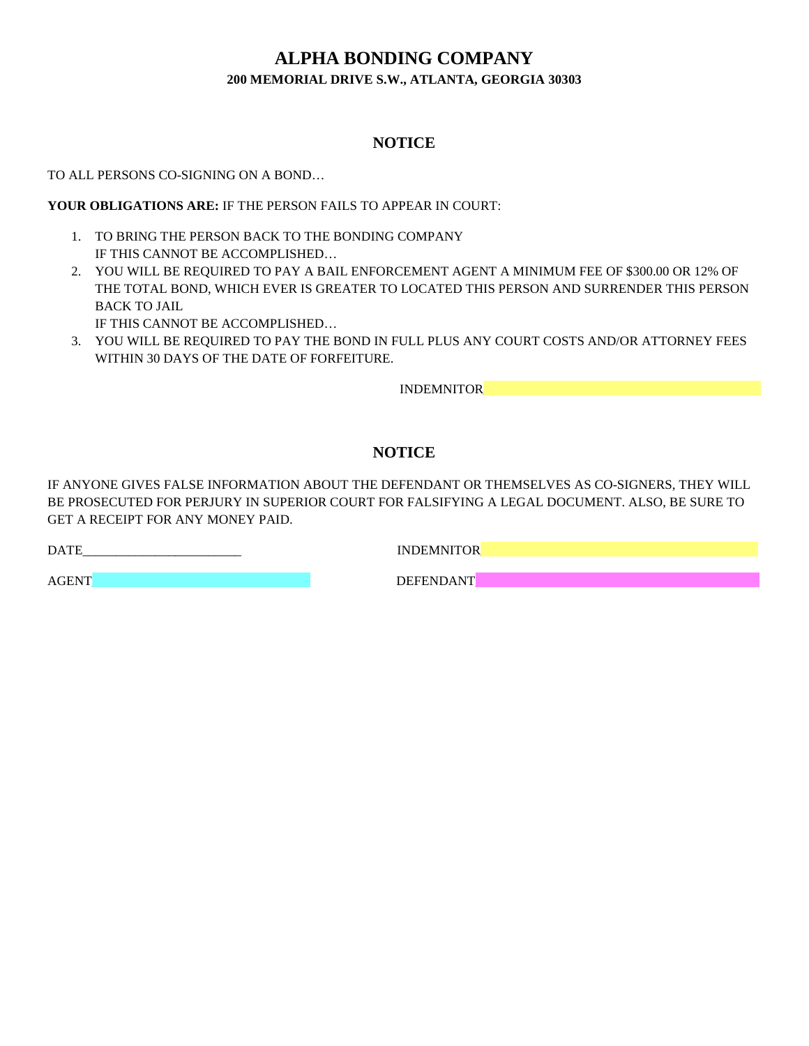## **ALPHA BONDING COMPANY 200 MEMORIAL DRIVE S.W., ATLANTA, GEORGIA 30303**

## **NOTICE**

TO ALL PERSONS CO-SIGNING ON A BOND…

**YOUR OBLIGATIONS ARE:** IF THE PERSON FAILS TO APPEAR IN COURT:

- 1. TO BRING THE PERSON BACK TO THE BONDING COMPANY IF THIS CANNOT BE ACCOMPLISHED…
- 2. YOU WILL BE REQUIRED TO PAY A BAIL ENFORCEMENT AGENT A MINIMUM FEE OF \$300.00 OR 12% OF THE TOTAL BOND, WHICH EVER IS GREATER TO LOCATED THIS PERSON AND SURRENDER THIS PERSON BACK TO JAIL IF THIS CANNOT BE ACCOMPLISHED…
- 3. YOU WILL BE REQUIRED TO PAY THE BOND IN FULL PLUS ANY COURT COSTS AND/OR ATTORNEY FEES WITHIN 30 DAYS OF THE DATE OF FORFEITURE.

INDEMNITOR\_\_\_\_\_\_\_\_\_\_\_\_\_\_\_\_\_\_\_\_\_\_\_\_\_\_\_\_\_\_\_\_\_\_\_\_\_\_\_\_\_\_

## **NOTICE**

IF ANYONE GIVES FALSE INFORMATION ABOUT THE DEFENDANT OR THEMSELVES AS CO-SIGNERS, THEY WILL BE PROSECUTED FOR PERJURY IN SUPERIOR COURT FOR FALSIFYING A LEGAL DOCUMENT. ALSO, BE SURE TO GET A RECEIPT FOR ANY MONEY PAID.

DATE EXECUTIVE INDEMNITOR

AGENT\_\_\_\_\_\_\_\_\_\_\_\_\_\_\_\_\_\_\_\_\_\_\_\_\_\_\_\_\_\_\_\_\_ DEFENDANT\_\_\_\_\_\_\_\_\_\_\_\_\_\_\_\_\_\_\_\_\_\_\_\_\_\_\_\_\_\_\_\_\_\_\_\_\_\_\_\_\_\_\_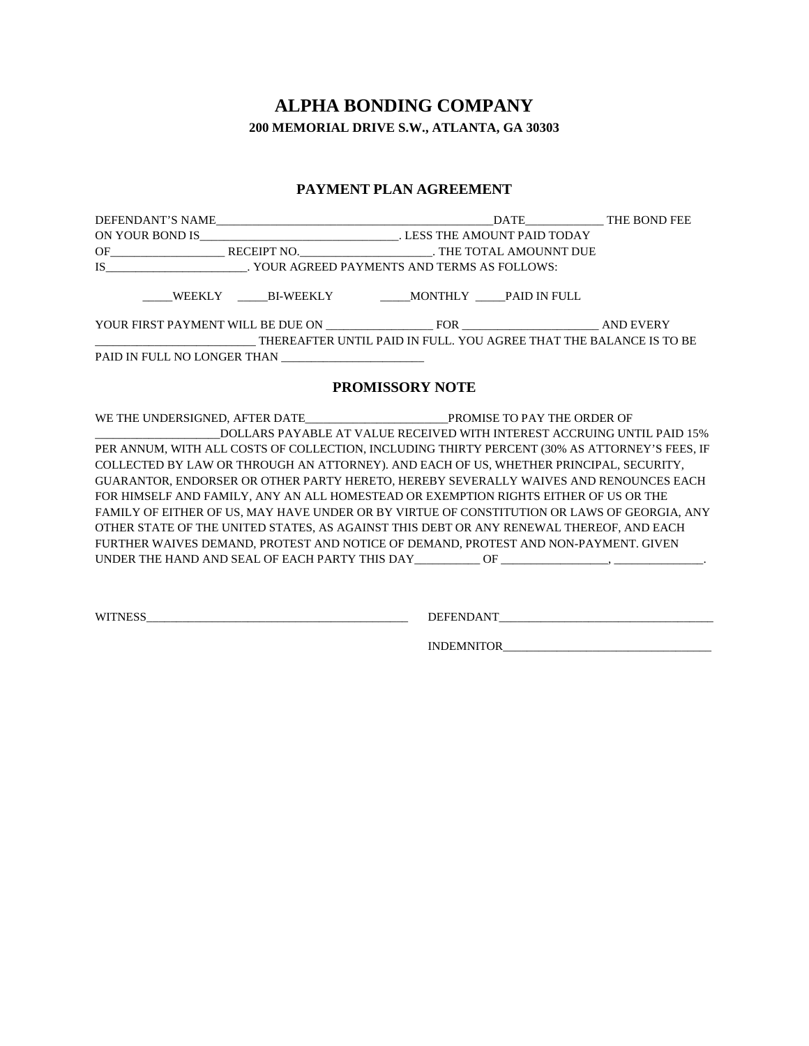# **ALPHA BONDING COMPANY 200 MEMORIAL DRIVE S.W., ATLANTA, GA 30303**

## **PAYMENT PLAN AGREEMENT**

| YOUR FIRST PAYMENT WILL BE DUE ON FOR FOR AND EVERY                                                   |  |  |
|-------------------------------------------------------------------------------------------------------|--|--|
| ___________________________________THEREAFTER UNTIL PAID IN FULL. YOU AGREE THAT THE BALANCE IS TO BE |  |  |
| PAID IN FULL NO LONGER THAN ________________________                                                  |  |  |
|                                                                                                       |  |  |

### **PROMISSORY NOTE**

| DOLLARS PAYABLE AT VALUE RECEIVED WITH INTEREST ACCRUING UNTIL PAID 15%                       |  |  |
|-----------------------------------------------------------------------------------------------|--|--|
| PER ANNUM, WITH ALL COSTS OF COLLECTION, INCLUDING THIRTY PERCENT (30% AS ATTORNEY'S FEES, IF |  |  |
| COLLECTED BY LAW OR THROUGH AN ATTORNEY). AND EACH OF US, WHETHER PRINCIPAL, SECURITY,        |  |  |
| GUARANTOR, ENDORSER OR OTHER PARTY HERETO, HEREBY SEVERALLY WAIVES AND RENOUNCES EACH         |  |  |
| FOR HIMSELF AND FAMILY, ANY AN ALL HOMESTEAD OR EXEMPTION RIGHTS EITHER OF US OR THE          |  |  |
| FAMILY OF EITHER OF US. MAY HAVE UNDER OR BY VIRTUE OF CONSTITUTION OR LAWS OF GEORGIA. ANY   |  |  |
| OTHER STATE OF THE UNITED STATES, AS AGAINST THIS DEBT OR ANY RENEWAL THEREOF, AND EACH       |  |  |
| FURTHER WAIVES DEMAND, PROTEST AND NOTICE OF DEMAND, PROTEST AND NON-PAYMENT. GIVEN           |  |  |
|                                                                                               |  |  |

WITNESS\_\_\_\_\_\_\_\_\_\_\_\_\_\_\_\_\_\_\_\_\_\_\_\_\_\_\_\_\_\_\_\_\_\_\_\_\_\_\_\_\_\_\_\_ DEFENDANT\_\_\_\_\_\_\_\_\_\_\_\_\_\_\_\_\_\_\_\_\_\_\_\_\_\_\_\_\_\_\_\_\_\_\_\_

INDEMNITOR\_\_\_\_\_\_\_\_\_\_\_\_\_\_\_\_\_\_\_\_\_\_\_\_\_\_\_\_\_\_\_\_\_\_\_